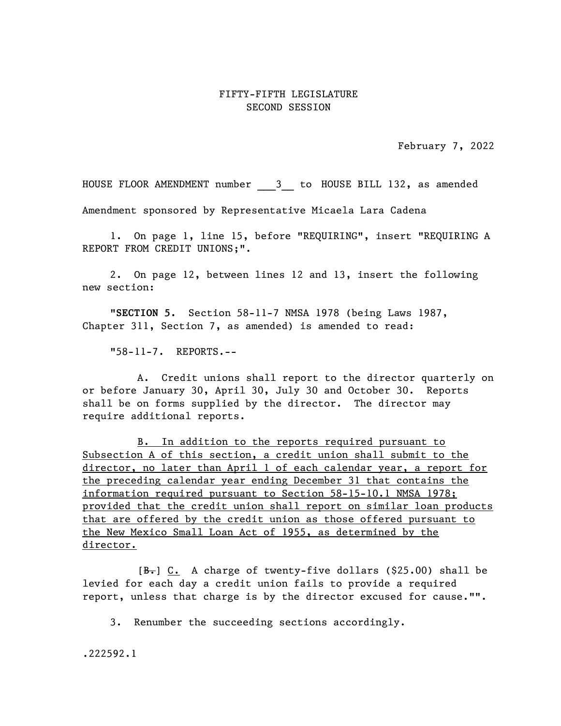## FIFTY-FIFTH LEGISLATURE SECOND SESSION

February 7, 2022

HOUSE FLOOR AMENDMENT number \_\_\_\_3\_\_\_ to HOUSE BILL 132, as amended

Amendment sponsored by Representative Micaela Lara Cadena

1. On page 1, line 15, before "REQUIRING", insert "REQUIRING A REPORT FROM CREDIT UNIONS;".

2. On page 12, between lines 12 and 13, insert the following new section:

"SECTION 5. Section 58-11-7 NMSA 1978 (being Laws 1987, Chapter 311, Section 7, as amended) is amended to read:

"58-11-7. REPORTS.--

A. Credit unions shall report to the director quarterly on or before January 30, April 30, July 30 and October 30. Reports shall be on forms supplied by the director. The director may require additional reports.

B. In addition to the reports required pursuant to Subsection A of this section, a credit union shall submit to the director, no later than April 1 of each calendar year, a report for the preceding calendar year ending December 31 that contains the information required pursuant to Section 58-15-10.1 NMSA 1978; provided that the credit union shall report on similar loan products that are offered by the credit union as those offered pursuant to the New Mexico Small Loan Act of 1955, as determined by the director.

 $[**B**]<sub>+</sub>] C. A charge of twenty-five dollars (§25.00) shall be$ levied for each day a credit union fails to provide a required report, unless that charge is by the director excused for cause."".

3. Renumber the succeeding sections accordingly.

.222592.1